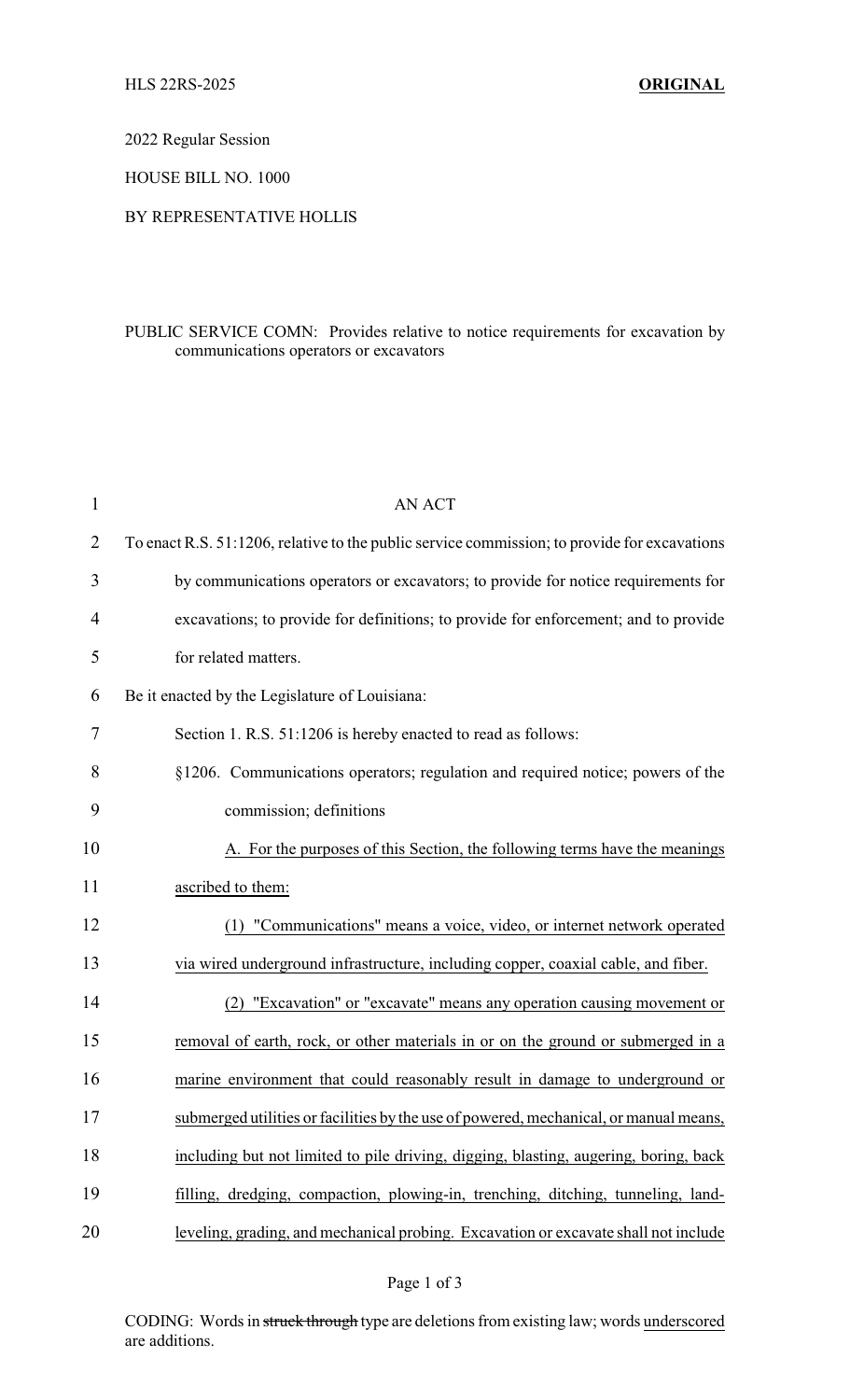2022 Regular Session

HOUSE BILL NO. 1000

## BY REPRESENTATIVE HOLLIS

## PUBLIC SERVICE COMN: Provides relative to notice requirements for excavation by communications operators or excavators

| $\mathbf{1}$ | <b>AN ACT</b>                                                                                |
|--------------|----------------------------------------------------------------------------------------------|
| 2            | To enact R.S. 51:1206, relative to the public service commission; to provide for excavations |
| 3            | by communications operators or excavators; to provide for notice requirements for            |
| 4            | excavations; to provide for definitions; to provide for enforcement; and to provide          |
| 5            | for related matters.                                                                         |
| 6            | Be it enacted by the Legislature of Louisiana:                                               |
| 7            | Section 1. R.S. 51:1206 is hereby enacted to read as follows:                                |
| 8            | §1206. Communications operators; regulation and required notice; powers of the               |
| 9            | commission; definitions                                                                      |
| 10           | A. For the purposes of this Section, the following terms have the meanings                   |
| 11           | ascribed to them:                                                                            |
| 12           | "Communications" means a voice, video, or internet network operated<br>(1)                   |
| 13           | via wired underground infrastructure, including copper, coaxial cable, and fiber.            |
| 14           | "Excavation" or "excavate" means any operation causing movement or                           |
| 15           | removal of earth, rock, or other materials in or on the ground or submerged in a             |
| 16           | marine environment that could reasonably result in damage to underground or                  |
| 17           | submerged utilities or facilities by the use of powered, mechanical, or manual means,        |
| 18           | including but not limited to pile driving, digging, blasting, augering, boring, back         |
| 19           | filling, dredging, compaction, plowing-in, trenching, ditching, tunneling, land-             |
| 20           | leveling, grading, and mechanical probing. Excavation or excavate shall not include          |
|              |                                                                                              |

CODING: Words in struck through type are deletions from existing law; words underscored are additions.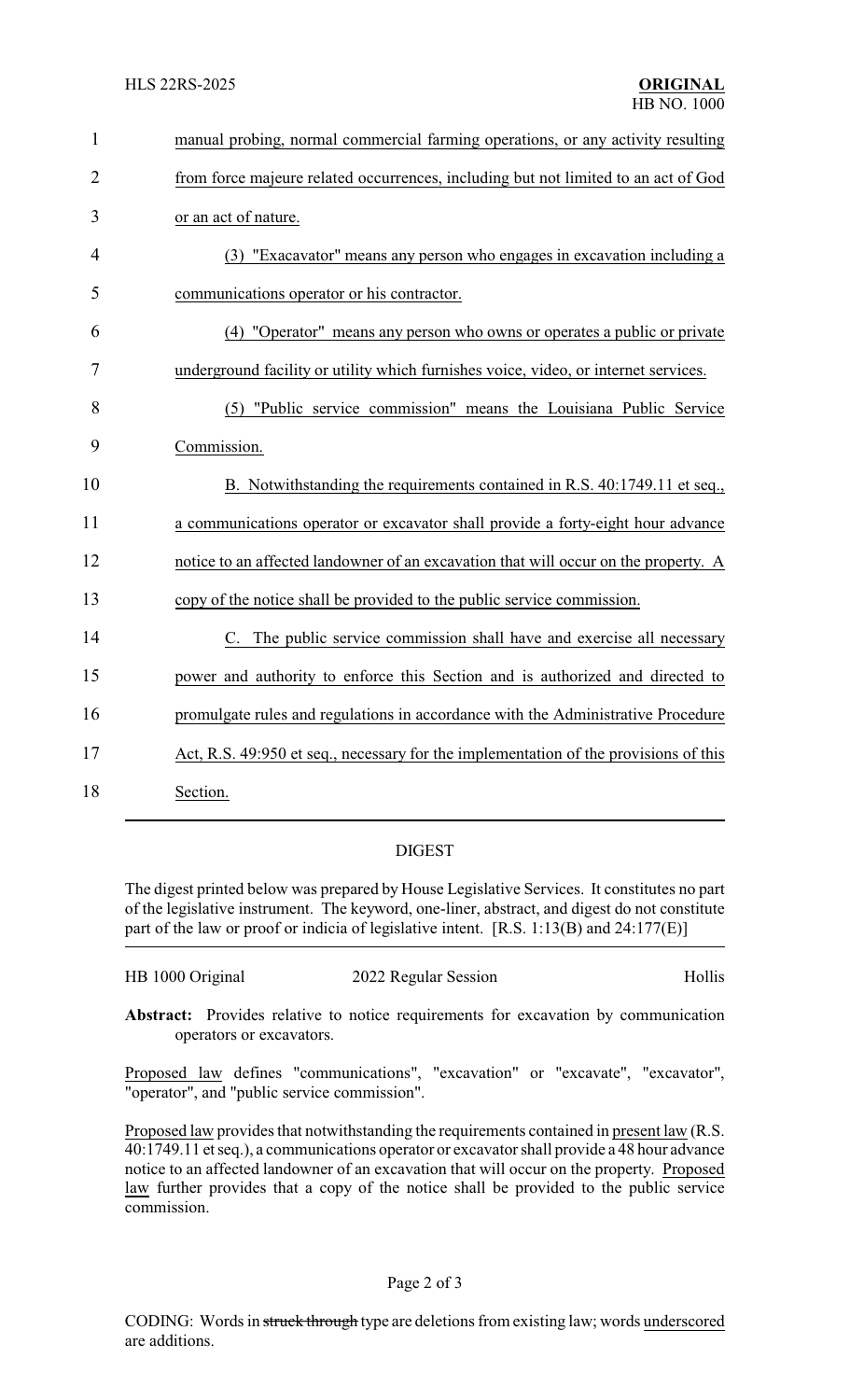| $\mathbf{1}$   | manual probing, normal commercial farming operations, or any activity resulting      |
|----------------|--------------------------------------------------------------------------------------|
| $\overline{2}$ | from force majeure related occurrences, including but not limited to an act of God   |
| 3              | or an act of nature.                                                                 |
| 4              | (3) "Exacavator" means any person who engages in excavation including a              |
| 5              | communications operator or his contractor.                                           |
| 6              | (4) "Operator" means any person who owns or operates a public or private             |
| 7              | underground facility or utility which furnishes voice, video, or internet services.  |
| 8              | (5) "Public service commission" means the Louisiana Public Service                   |
| 9              | Commission.                                                                          |
| 10             | B. Notwithstanding the requirements contained in R.S. 40:1749.11 et seq.,            |
| 11             | a communications operator or excavator shall provide a forty-eight hour advance      |
| 12             | notice to an affected landowner of an excavation that will occur on the property. A  |
| 13             | copy of the notice shall be provided to the public service commission.               |
| 14             | C. The public service commission shall have and exercise all necessary               |
| 15             | power and authority to enforce this Section and is authorized and directed to        |
| 16             | promulgate rules and regulations in accordance with the Administrative Procedure     |
| 17             | Act, R.S. 49:950 et seq., necessary for the implementation of the provisions of this |
| 18             | Section.                                                                             |

## DIGEST

The digest printed below was prepared by House Legislative Services. It constitutes no part of the legislative instrument. The keyword, one-liner, abstract, and digest do not constitute part of the law or proof or indicia of legislative intent. [R.S. 1:13(B) and 24:177(E)]

| HB 1000 Original | 2022 Regular Session | Hollis |
|------------------|----------------------|--------|
|                  |                      |        |

**Abstract:** Provides relative to notice requirements for excavation by communication operators or excavators.

Proposed law defines "communications", "excavation" or "excavate", "excavator", "operator", and "public service commission".

Proposed law provides that notwithstanding the requirements contained in present law (R.S. 40:1749.11 et seq.), a communications operator or excavator shall provide a 48 hour advance notice to an affected landowner of an excavation that will occur on the property. Proposed law further provides that a copy of the notice shall be provided to the public service commission.